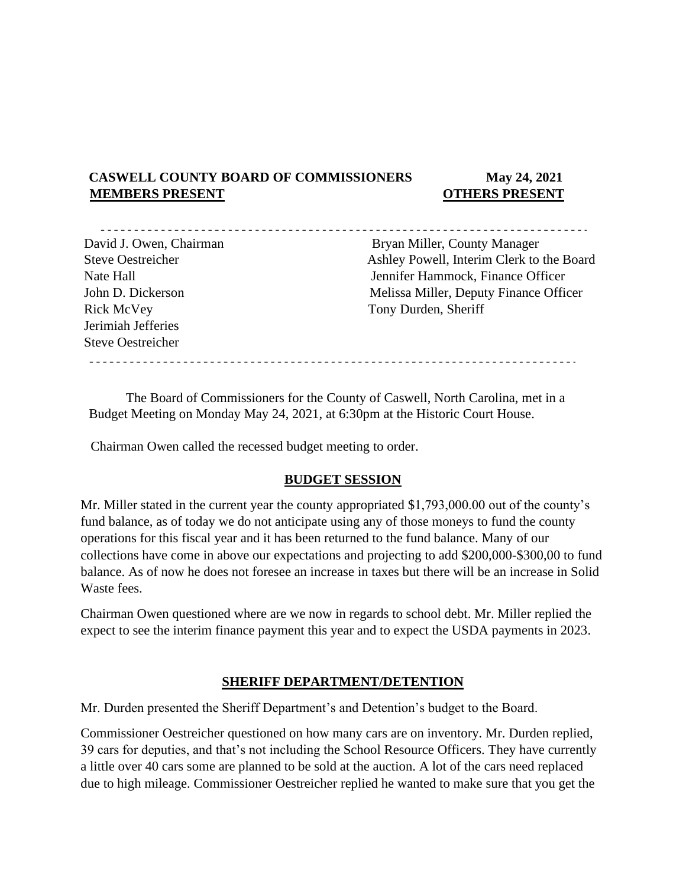# **CASWELL COUNTY BOARD OF COMMISSIONERS May 24, 2021 MEMBERS PRESENT OTHERS PRESENT**

<u> - - - - - - - - - -</u>

Rick McVey Tony Durden, Sheriff Jerimiah Jefferies Steve Oestreicher

David J. Owen, Chairman Bryan Miller, County Manager Steve Oestreicher Ashley Powell, Interim Clerk to the Board Nate Hall **I. S. A. S. A. S. A. S. A. S. A. S. A. S. A. S. A. S. A. S. A. S. A. S. A. S. A. S. A. S. A. S. A. S. A. S. A. S. A. S. A. S. A. S. A. S. A. S. A. S. A. S. A. S. A. S. A. S. A. S. A. S. A. S. A. S. A. S. A. S. A** John D. Dickerson Melissa Miller, Deputy Finance Officer

The Board of Commissioners for the County of Caswell, North Carolina, met in a Budget Meeting on Monday May 24, 2021, at 6:30pm at the Historic Court House.

Chairman Owen called the recessed budget meeting to order.

## **BUDGET SESSION**

Mr. Miller stated in the current year the county appropriated \$1,793,000.00 out of the county's fund balance, as of today we do not anticipate using any of those moneys to fund the county operations for this fiscal year and it has been returned to the fund balance. Many of our collections have come in above our expectations and projecting to add \$200,000-\$300,00 to fund balance. As of now he does not foresee an increase in taxes but there will be an increase in Solid Waste fees.

Chairman Owen questioned where are we now in regards to school debt. Mr. Miller replied the expect to see the interim finance payment this year and to expect the USDA payments in 2023.

## **SHERIFF DEPARTMENT/DETENTION**

Mr. Durden presented the Sheriff Department's and Detention's budget to the Board.

Commissioner Oestreicher questioned on how many cars are on inventory. Mr. Durden replied, 39 cars for deputies, and that's not including the School Resource Officers. They have currently a little over 40 cars some are planned to be sold at the auction. A lot of the cars need replaced due to high mileage. Commissioner Oestreicher replied he wanted to make sure that you get the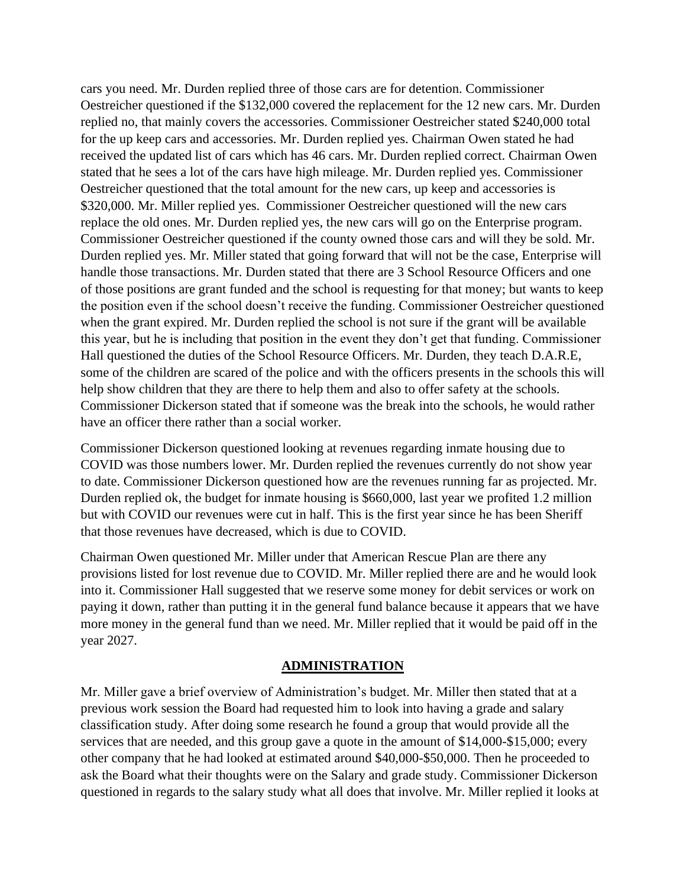cars you need. Mr. Durden replied three of those cars are for detention. Commissioner Oestreicher questioned if the \$132,000 covered the replacement for the 12 new cars. Mr. Durden replied no, that mainly covers the accessories. Commissioner Oestreicher stated \$240,000 total for the up keep cars and accessories. Mr. Durden replied yes. Chairman Owen stated he had received the updated list of cars which has 46 cars. Mr. Durden replied correct. Chairman Owen stated that he sees a lot of the cars have high mileage. Mr. Durden replied yes. Commissioner Oestreicher questioned that the total amount for the new cars, up keep and accessories is \$320,000. Mr. Miller replied yes. Commissioner Oestreicher questioned will the new cars replace the old ones. Mr. Durden replied yes, the new cars will go on the Enterprise program. Commissioner Oestreicher questioned if the county owned those cars and will they be sold. Mr. Durden replied yes. Mr. Miller stated that going forward that will not be the case, Enterprise will handle those transactions. Mr. Durden stated that there are 3 School Resource Officers and one of those positions are grant funded and the school is requesting for that money; but wants to keep the position even if the school doesn't receive the funding. Commissioner Oestreicher questioned when the grant expired. Mr. Durden replied the school is not sure if the grant will be available this year, but he is including that position in the event they don't get that funding. Commissioner Hall questioned the duties of the School Resource Officers. Mr. Durden, they teach D.A.R.E, some of the children are scared of the police and with the officers presents in the schools this will help show children that they are there to help them and also to offer safety at the schools. Commissioner Dickerson stated that if someone was the break into the schools, he would rather have an officer there rather than a social worker.

Commissioner Dickerson questioned looking at revenues regarding inmate housing due to COVID was those numbers lower. Mr. Durden replied the revenues currently do not show year to date. Commissioner Dickerson questioned how are the revenues running far as projected. Mr. Durden replied ok, the budget for inmate housing is \$660,000, last year we profited 1.2 million but with COVID our revenues were cut in half. This is the first year since he has been Sheriff that those revenues have decreased, which is due to COVID.

Chairman Owen questioned Mr. Miller under that American Rescue Plan are there any provisions listed for lost revenue due to COVID. Mr. Miller replied there are and he would look into it. Commissioner Hall suggested that we reserve some money for debit services or work on paying it down, rather than putting it in the general fund balance because it appears that we have more money in the general fund than we need. Mr. Miller replied that it would be paid off in the year 2027.

## **ADMINISTRATION**

Mr. Miller gave a brief overview of Administration's budget. Mr. Miller then stated that at a previous work session the Board had requested him to look into having a grade and salary classification study. After doing some research he found a group that would provide all the services that are needed, and this group gave a quote in the amount of \$14,000-\$15,000; every other company that he had looked at estimated around \$40,000-\$50,000. Then he proceeded to ask the Board what their thoughts were on the Salary and grade study. Commissioner Dickerson questioned in regards to the salary study what all does that involve. Mr. Miller replied it looks at